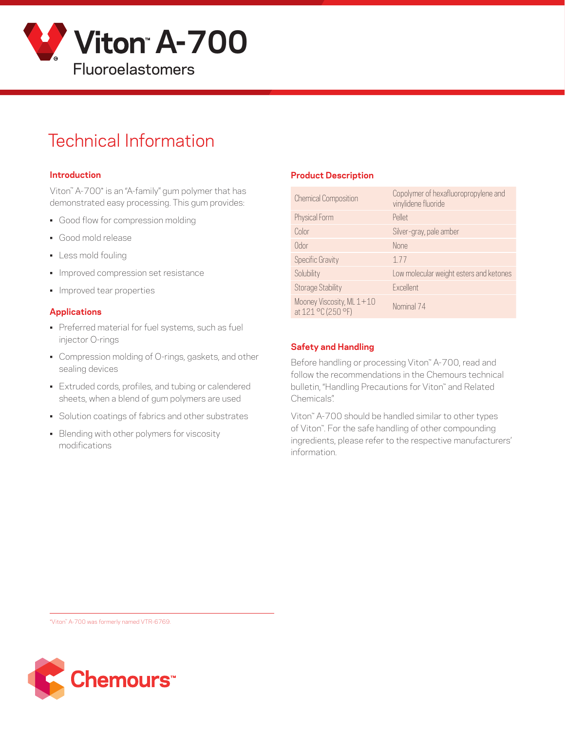

# Technical Information

#### **Introduction**

Viton™ A-700\* is an "A-family" gum polymer that has demonstrated easy processing. This gum provides:

- Good flow for compression molding
- Good mold release
- Less mold fouling
- Improved compression set resistance
- Improved tear properties

#### **Applications**

- Preferred material for fuel systems, such as fuel injector O-rings
- Compression molding of O-rings, gaskets, and other sealing devices
- Extruded cords, profiles, and tubing or calendered sheets, when a blend of gum polymers are used
- Solution coatings of fabrics and other substrates
- Blending with other polymers for viscosity modifications

#### **Product Description**

| <b>Chemical Composition</b>                     | Copolymer of hexafluoropropylene and<br>vinylidene fluoride |
|-------------------------------------------------|-------------------------------------------------------------|
| Physical Form                                   | Pellet                                                      |
| Color                                           | Silver-gray, pale amber                                     |
| Odor                                            | <b>None</b>                                                 |
| <b>Specific Gravity</b>                         | 177                                                         |
| Solubility                                      | Low molecular weight esters and ketones                     |
| <b>Storage Stability</b>                        | Excellent                                                   |
| Mooney Viscosity, ML 1+10<br>at 121 °C (250 °F) | Nominal 74                                                  |

#### **Safety and Handling**

Before handling or processing Viton™ A-700, read and follow the recommendations in the Chemours technical bulletin, "Handling Precautions for Viton™ and Related Chemicals".

Viton™ A-700 should be handled similar to other types of Viton™. For the safe handling of other compounding ingredients, please refer to the respective manufacturers' information.

\*Viton™ A-700 was formerly named VTR-6769.

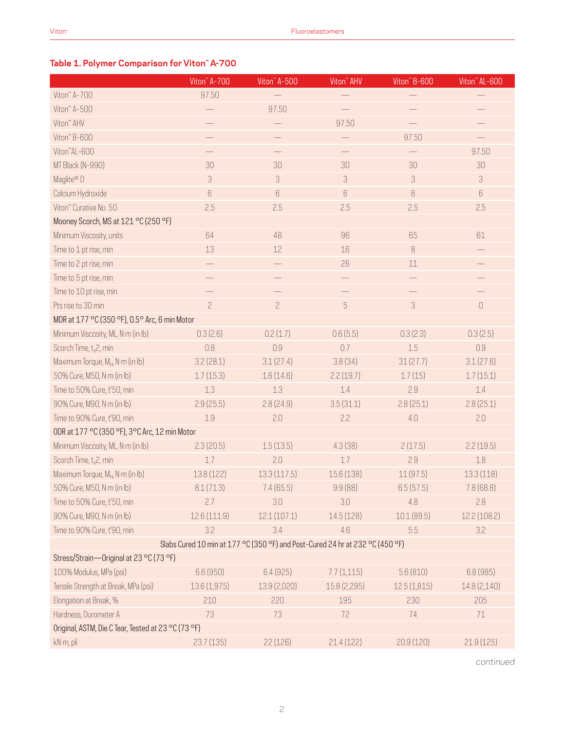### **Table 1. Polymer Comparison for Viton™ A-700**

|                                                     | Viton <sup>"</sup> A-700 | Viton <sup>"</sup> A-500                                                      | Viton <sup>"</sup> AHV | Viton" B-600   | Viton <sup>"</sup> AL-600 |  |  |  |  |
|-----------------------------------------------------|--------------------------|-------------------------------------------------------------------------------|------------------------|----------------|---------------------------|--|--|--|--|
| Viton" A-700                                        | 97.50                    |                                                                               |                        |                |                           |  |  |  |  |
| Viton" A-500                                        |                          | 97.50                                                                         |                        |                |                           |  |  |  |  |
| Viton" AHV                                          |                          |                                                                               | 97.50                  |                |                           |  |  |  |  |
| Viton" B-600                                        |                          |                                                                               |                        | 97.50          |                           |  |  |  |  |
| Viton"AL-600                                        |                          |                                                                               |                        |                | 97.50                     |  |  |  |  |
| MT Black (N-990)                                    | 30                       | 30                                                                            | 30                     | 30             | 30                        |  |  |  |  |
| Maglite® D                                          | 3                        | 3                                                                             | 3                      | 3              | 3                         |  |  |  |  |
| Calcium Hydroxide                                   | 6                        | 6                                                                             | 6                      | 6              | $6\phantom{.}6$           |  |  |  |  |
| Viton" Curative No. 50                              | 2.5                      | 2.5                                                                           | 2.5                    | 2.5            | 2.5                       |  |  |  |  |
| Mooney Scorch, MS at 121 °C (250 °F)                |                          |                                                                               |                        |                |                           |  |  |  |  |
| Minimum Viscosity, units                            | 64                       | 48                                                                            | 96                     | 65             | 61                        |  |  |  |  |
| Time to 1 pt rise, min                              | 13                       | 12                                                                            | 16                     | $\, 8$         |                           |  |  |  |  |
| Time to 2 pt rise, min                              |                          |                                                                               | 26                     | 11             |                           |  |  |  |  |
| Time to 5 pt rise, min                              |                          |                                                                               |                        |                |                           |  |  |  |  |
| Time to 10 pt rise, min                             |                          |                                                                               |                        |                |                           |  |  |  |  |
| Pts rise to 30 min                                  | $\overline{c}$           | $\overline{c}$                                                                | $\sqrt{5}$             | $\mathfrak{Z}$ | $\mathbf 0$               |  |  |  |  |
| MDR at 177 °C (350 °F), 0.5° Arc, 6 min Motor       |                          |                                                                               |                        |                |                           |  |  |  |  |
| Minimum Viscosity, ML, N·m (in·lb)                  | 0.3(2.6)                 | 0.2(1.7)                                                                      | 0.6(5.5)               | 0.3(2.3)       | 0.3(2.5)                  |  |  |  |  |
| Scorch Time, t <sub>s</sub> 2, min                  | 0.8                      | 0.9                                                                           | 0.7                    | 1.5            | 0.9                       |  |  |  |  |
| Maximum Torque, M <sub>H</sub> , N·m (in·lb)        | 3.2(28.1)                | 3.1(27.4)                                                                     | 3.8(34)                | 31(27.7)       | 3.1(27.6)                 |  |  |  |  |
| 50% Cure, M50, N·m (in·lb)                          | 1.7(15.3)                | 1.6(14.6)                                                                     | 2.2(19.7)              | 1.7(15)        | 1.7(15.1)                 |  |  |  |  |
| Time to 50% Cure, t'50, min                         | 1.3                      | 1.3                                                                           | 1.4                    | 2.9            | 1.4                       |  |  |  |  |
| 90% Cure, M90, N·m (in·lb)                          | 2.9(25.5)                | 2.8(24.9)                                                                     | 3.5(31.1)              | 2.8(25.1)      | 2.8(25.1)                 |  |  |  |  |
| Time to 90% Cure, t'90, min                         | 1.9                      | 2.0                                                                           | 2.2                    | 4.0            | 2.0                       |  |  |  |  |
| ODR at 177 °C (350 °F), 3°C Arc, 12 min Motor       |                          |                                                                               |                        |                |                           |  |  |  |  |
| Minimum Viscosity, ML, N·m (in·lb)                  | 2.3(20.5)                | 1.5(13.5)                                                                     | 4.3(38)                | 2(17.5)        | 2.2(19.5)                 |  |  |  |  |
| Scorch Time, t <sub>s</sub> 2, min                  | 1.7                      | 2.0                                                                           | 1.7                    | 2.9            | 1.8                       |  |  |  |  |
| Maximum Torque, MH, N·m (in·lb)                     | 13.8 (122)               | 13.3(117.5)                                                                   | 15.6 (138)             | 11(97.5)       | 13.3(118)                 |  |  |  |  |
| 50% Cure, M50, N·m (in·lb)                          | 8.1(71.3)                | 7.4(65.5)                                                                     | 9.9(88)                | 6.5(57.5)      | 7.8 (68.8)                |  |  |  |  |
| Time to 50% Cure, t'50, min                         | 2.7                      | 3.0                                                                           | 3.0                    | 4.8            | 2.8                       |  |  |  |  |
| 90% Cure, M90, N·m (in·lb)                          | 12.6 (111.9)             | 12.1(107.1)                                                                   | 14.5 (128)             | 10.1 (89.5)    | 12.2 (108.2)              |  |  |  |  |
| Time to 90% Cure, t'90, min                         | 3.2                      | 3.4                                                                           | 4.6                    | 5.5            | 3.2                       |  |  |  |  |
|                                                     |                          | Slabs Cured 10 min at 177 °C (350 °F) and Post-Cured 24 hr at 232 °C (450 °F) |                        |                |                           |  |  |  |  |
| Stress/Strain-Original at 23 °C (73 °F)             |                          |                                                                               |                        |                |                           |  |  |  |  |
| 100% Modulus, MPa (psi)                             | 6.6 (950)                | 6.4(925)                                                                      | 7.7(1,115)             | 5.6(810)       | 6.8(985)                  |  |  |  |  |
| Tensile Strength at Break, MPa (psi)                | 13.6 (1,975)             | 13.9 (2,020)                                                                  | 15.8 (2,295)           | 12.5(1,815)    | 14.8 (2,140)              |  |  |  |  |
| Elongation at Break, %                              | 210                      | 220                                                                           | 195                    | 230            | 205                       |  |  |  |  |
| Hardness, Durometer A                               | 73                       | 73                                                                            | 72                     | 74             | 71                        |  |  |  |  |
| Original, ASTM, Die C Tear, Tested at 23 °C (73 °F) |                          |                                                                               |                        |                |                           |  |  |  |  |
| kN·m, pli                                           | 23.7(135)                | 22(126)                                                                       | 21.4(122)              | 20.9 (120)     | 21.9(125)                 |  |  |  |  |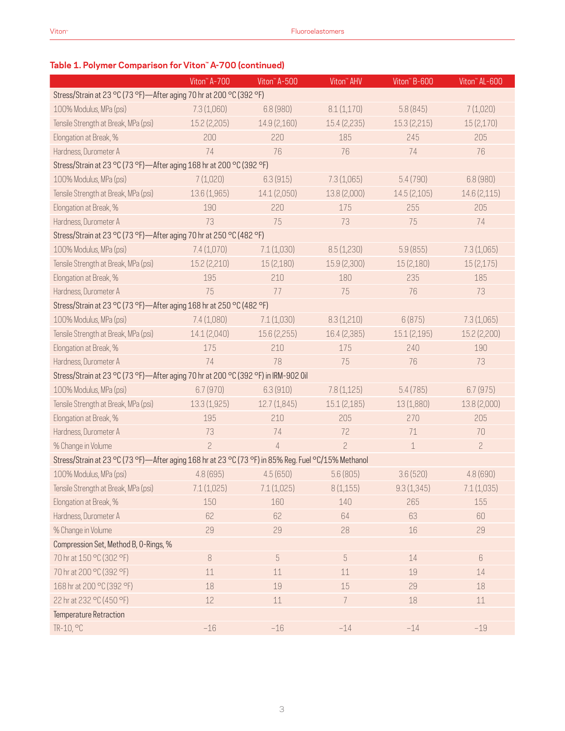### **Table 1. Polymer Comparison for Viton™ A-700 (continued)**

|                                                                                                     | Viton <sup>™</sup> A-700 | Viton <sup>"</sup> A-500 | Viton <sup>™</sup> AHV | Viton" B-600 | Viton <sup>"</sup> AL-600 |  |  |  |  |
|-----------------------------------------------------------------------------------------------------|--------------------------|--------------------------|------------------------|--------------|---------------------------|--|--|--|--|
| Stress/Strain at 23 °C (73 °F)-After aging 70 hr at 200 °C (392 °F)                                 |                          |                          |                        |              |                           |  |  |  |  |
| 100% Modulus, MPa (psi)                                                                             | 7.3(1,060)               | 6.8(980)                 | 8.1(1,170)             | 5.8(845)     | 7(1,020)                  |  |  |  |  |
| Tensile Strength at Break, MPa (psi)                                                                | 15.2(2,205)              | 14.9(2,160)              | 15.4 (2,235)           | 15.3(2,215)  | 15 (2,170)                |  |  |  |  |
| Elongation at Break, %                                                                              | 200                      | 220                      | 185                    | 245          | 205                       |  |  |  |  |
| Hardness, Durometer A                                                                               | 74                       | 76                       | 76                     | 74           | 76                        |  |  |  |  |
| Stress/Strain at 23 °C (73 °F)-After aging 168 hr at 200 °C (392 °F)                                |                          |                          |                        |              |                           |  |  |  |  |
| 100% Modulus, MPa (psi)                                                                             | 7(1,020)                 | 6.3(915)                 | 7.3(1,065)             | 5.4(790)     | 6.8 (980)                 |  |  |  |  |
| Tensile Strength at Break, MPa (psi)                                                                | 13.6 (1,965)             | 14.1 (2,050)             | 13.8 (2,000)           | 14.5(2,105)  | 14.6 (2,115)              |  |  |  |  |
| Elongation at Break, %                                                                              | 190                      | 220                      | 175                    | 255          | 205                       |  |  |  |  |
| Hardness, Durometer A                                                                               | 73                       | 75                       | 73                     | 75           | 74                        |  |  |  |  |
| Stress/Strain at 23 °C (73 °F)-After aging 70 hr at 250 °C (482 °F)                                 |                          |                          |                        |              |                           |  |  |  |  |
| 100% Modulus, MPa (psi)                                                                             | 7.4(1,070)               | 7.1(1,030)               | 8.5(1,230)             | 5.9(855)     | 7.3(1,065)                |  |  |  |  |
| Tensile Strength at Break, MPa (psi)                                                                | 15.2 (2,210)             | 15 (2,180)               | 15.9 (2,300)           | 15 (2,180)   | 15(2,175)                 |  |  |  |  |
| Elongation at Break, %                                                                              | 195                      | 210                      | 180                    | 235          | 185                       |  |  |  |  |
| Hardness, Durometer A                                                                               | 75                       | 77                       | 75                     | 76           | 73                        |  |  |  |  |
| Stress/Strain at 23 °C (73 °F)-After aging 168 hr at 250 °C (482 °F)                                |                          |                          |                        |              |                           |  |  |  |  |
| 100% Modulus, MPa (psi)                                                                             | 7.4(1,080)               | 7.1(1,030)               | 8.3(1,210)             | 6(875)       | 7.3(1,065)                |  |  |  |  |
| Tensile Strength at Break, MPa (psi)                                                                | 14.1 (2,040)             | 15.6(2,255)              | 16.4 (2,385)           | 15.1(2,195)  | 15.2 (2,200)              |  |  |  |  |
| Elongation at Break, %                                                                              | 175                      | 210                      | 175                    | 240          | 190                       |  |  |  |  |
| Hardness, Durometer A                                                                               | 74                       | 78                       | 75                     | 76           | 73                        |  |  |  |  |
| Stress/Strain at 23 °C (73 °F)-After aging 70 hr at 200 °C (392 °F) in IRM-902 0il                  |                          |                          |                        |              |                           |  |  |  |  |
| 100% Modulus, MPa (psi)                                                                             | 6.7(970)                 | 6.3(910)                 | 7.8(1,125)             | 5.4(785)     | 6.7(975)                  |  |  |  |  |
| Tensile Strength at Break, MPa (psi)                                                                | 13.3 (1,925)             | 12.7(1,845)              | 15.1(2,185)            | 13 (1,880)   | 13.8 (2,000)              |  |  |  |  |
| Elongation at Break, %                                                                              | 195                      | 210                      | 205                    | 270          | 205                       |  |  |  |  |
| Hardness, Durometer A                                                                               | 73                       | 74                       | 72                     | 71           | 70                        |  |  |  |  |
| % Change in Volume                                                                                  | $\overline{c}$           | $\overline{4}$           | $\overline{c}$         | $\mathbf 1$  | $\overline{c}$            |  |  |  |  |
| Stress/Strain at 23 °C (73 °F)-After aging 168 hr at 23 °C (73 °F) in 85% Reg. Fuel °C/15% Methanol |                          |                          |                        |              |                           |  |  |  |  |
| 100% Modulus, MPa (psi)                                                                             | 4.8(695)                 | 4.5(650)                 | 5.6(805)               | 3.6(520)     | 4.8(690)                  |  |  |  |  |
| Tensile Strength at Break, MPa (psi)                                                                | 7.1(1,025)               | 7.1(1,025)               | 8(1,155)               | 9.3(1,345)   | 7.1(1,035)                |  |  |  |  |
| Elongation at Break, %                                                                              | 150                      | 160                      | 140                    | 265          | 155                       |  |  |  |  |
| Hardness, Durometer A                                                                               | 62                       | 62                       | 64                     | 63           | 60                        |  |  |  |  |
| % Change in Volume                                                                                  | 29                       | 29                       | 28                     | 16           | 29                        |  |  |  |  |
| Compression Set, Method B, O-Rings, %                                                               |                          |                          |                        |              |                           |  |  |  |  |
| 70 hr at 150 °C (302 °F)                                                                            | $\, 8$                   | $\sqrt{5}$               | $\sqrt{5}$             | $14\,$       | $6\,$                     |  |  |  |  |
| 70 hr at 200 °C (392 °F)                                                                            | 11                       | 11                       | 11                     | 19           | 14                        |  |  |  |  |
| 168 hr at 200 °C (392 °F)                                                                           | 18                       | 19                       | 15                     | 29           | 18                        |  |  |  |  |
| 22 hr at 232 °C (450 °F)                                                                            | $12$                     | $11\,$                   | 7                      | 18           | $11\,$                    |  |  |  |  |
| Temperature Retraction                                                                              |                          |                          |                        |              |                           |  |  |  |  |
| TR-10, °C                                                                                           | $-16$                    | $-16$                    | $-14$                  | $-14$        | $-19$                     |  |  |  |  |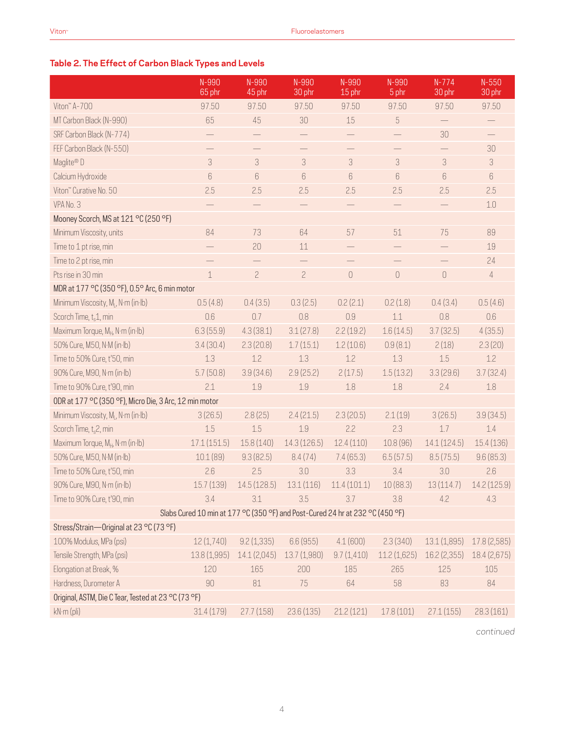### **Table 2. The Effect of Carbon Black Types and Levels**

|                                                        | N-990<br>65 phr | N-990<br>45 phr | N-990<br>30 phr                                                               | N-990<br>15 phr   | N-990<br>5 phr    | $N-774$<br>30 phr        | $N - 550$<br>30 phr |
|--------------------------------------------------------|-----------------|-----------------|-------------------------------------------------------------------------------|-------------------|-------------------|--------------------------|---------------------|
| Viton" A-700                                           | 97.50           | 97.50           | 97.50                                                                         | 97.50             | 97.50             | 97.50                    | 97.50               |
| MT Carbon Black (N-990)                                | 65              | 45              | 30                                                                            | 15                | $\sqrt{5}$        | $\overline{\phantom{0}}$ |                     |
| SRF Carbon Black (N-774)                               |                 |                 |                                                                               |                   |                   | 30                       |                     |
| FEF Carbon Black (N-550)                               |                 |                 |                                                                               |                   |                   | $\overline{\phantom{0}}$ | 30                  |
| Maglite® D                                             | 3               | 3               | $\ensuremath{\mathsf{3}}$                                                     | 3                 | 3                 | 3                        | 3                   |
| Calcium Hydroxide                                      | 6               | 6               | 6                                                                             | 6                 | 6                 | 6                        | 6                   |
| Viton" Curative No. 50                                 | 2.5             | 2.5             | 2.5                                                                           | 2.5               | 2.5               | 2.5                      | 2.5                 |
| VPA No. 3                                              |                 |                 |                                                                               | $\qquad \qquad -$ |                   |                          | 1.0                 |
| Mooney Scorch, MS at 121 °C (250 °F)                   |                 |                 |                                                                               |                   |                   |                          |                     |
| Minimum Viscosity, units                               | 84              | 73              | 64                                                                            | 57                | 51                | 75                       | 89                  |
| Time to 1 pt rise, min                                 |                 | 20              | 11                                                                            |                   | $\qquad \qquad -$ | $\qquad \qquad -$        | 19                  |
| Time to 2 pt rise, min                                 |                 |                 |                                                                               |                   |                   |                          | 24                  |
| Pts rise in 30 min                                     | $\mathbf 1$     | $\overline{c}$  | $\overline{c}$                                                                | $\mathbb O$       | $\hbox{O}$        | $\mathbf 0$              | 4                   |
| MDR at 177 °C (350 °F), 0.5° Arc, 6 min motor          |                 |                 |                                                                               |                   |                   |                          |                     |
| Minimum Viscosity, M <sub>i</sub> , N·m (in·lb)        | 0.5(4.8)        | 0.4(3.5)        | 0.3(2.5)                                                                      | 0.2(2.1)          | 0.2(1.8)          | 0.4(3.4)                 | 0.5(4.6)            |
| Scorch Time, t <sub>s</sub> 1, min                     | 0.6             | 0.7             | 0.8                                                                           | 0.9               | $1.1\,$           | 0.8                      | 0.6                 |
| Maximum Torque, MH, N·m (in·lb)                        | 6.3(55.9)       | 4.3(38.1)       | 3.1(27.8)                                                                     | 2.2(19.2)         | 1.6(14.5)         | 3.7(32.5)                | 4(35.5)             |
| 50% Cure, M50, N·M (in·lb)                             | 3.4(30.4)       | 2.3(20.8)       | 1.7(15.1)                                                                     | 1.2(10.6)         | 0.9(8.1)          | 2(18)                    | 2.3(20)             |
| Time to 50% Cure, t'50, min                            | 1.3             | 1.2             | 1.3                                                                           | 1.2               | 1.3               | 1.5                      | 1.2                 |
| 90% Cure, M90, N·m (in·lb)                             | 5.7(50.8)       | 3.9(34.6)       | 2.9(25.2)                                                                     | 2(17.5)           | 1.5(13.2)         | 3.3(29.6)                | 3.7(32.4)           |
| Time to 90% Cure, t'90, min                            | 2.1             | 1.9             | 1.9                                                                           | 1.8               | 1.8               | 2.4                      | 1.8                 |
| ODR at 177 °C (350 °F), Micro Die, 3 Arc, 12 min motor |                 |                 |                                                                               |                   |                   |                          |                     |
| Minimum Viscosity, M <sub>i</sub> , N·m (in·lb)        | 3(26.5)         | 2.8(25)         | 2.4(21.5)                                                                     | 2.3(20.5)         | 2.1(19)           | 3(26.5)                  | 3.9(34.5)           |
| Scorch Time, t <sub>s</sub> 2, min                     | 1.5             | 1.5             | 1.9                                                                           | 2.2               | 2.3               | 1.7                      | 1.4                 |
| Maximum Torque, M <sub>H</sub> , N·m (in·lb)           | 17.1(151.5)     | 15.8(140)       | 14.3(126.5)                                                                   | 12.4(110)         | 10.8 (96)         | 14.1(124.5)              | 15.4(136)           |
| 50% Cure, M50, N·M (in·lb)                             | 10.1(89)        | 9.3(82.5)       | 8.4(74)                                                                       | 7.4(65.3)         | 6.5(57.5)         | 8.5(75.5)                | 9.6(85.3)           |
| Time to 50% Cure, t'50, min                            | 2.6             | 2.5             | 3.0                                                                           | 3.3               | 3.4               | 3.0                      | 2.6                 |
| 90% Cure, M90, N·m (in·lb)                             | 15.7(139)       | 14.5(128.5)     | 13.1(116)                                                                     | 11.4(101.1)       | 10(88.3)          | 13(114.7)                | 14.2 (125.9)        |
| Time to 90% Cure, t'90, min                            | 3.4             | 3.1             | 3.5                                                                           | 3.7               | 3.8               | 4.2                      | 4.3                 |
|                                                        |                 |                 | Slabs Cured 10 min at 177 °C (350 °F) and Post-Cured 24 hr at 232 °C (450 °F) |                   |                   |                          |                     |
| Stress/Strain-Original at 23 °C (73 °F)                |                 |                 |                                                                               |                   |                   |                          |                     |
| 100% Modulus, MPa (psi)                                | 12(1,740)       | 9.2(1,335)      | 6.6(955)                                                                      | 4.1(600)          | 2.3(340)          | 13.1(1,895)              | 17.8 (2,585)        |
| Tensile Strength, MPa (psi)                            | 13.8 (1,995)    | 14.1 (2,045)    | 13.7 (1,980)                                                                  | 9.7(1,410)        | 11.2(1,625)       | 16.2 (2,355)             | 18.4 (2,675)        |
| Elongation at Break, %                                 | 120             | 165             | 200                                                                           | 185               | 265               | 125                      | 105                 |
| Hardness, Durometer A                                  | 90              | 81              | 75                                                                            | 64                | 58                | 83                       | 84                  |
| Original, ASTM, Die C Tear, Tested at 23 °C (73 °F)    |                 |                 |                                                                               |                   |                   |                          |                     |
| kN·m (pli)                                             | 31.4(179)       | 27.7(158)       | 23.6(135)                                                                     | 21.2(121)         | 17.8(101)         | 27.1(155)                | 28.3(161)           |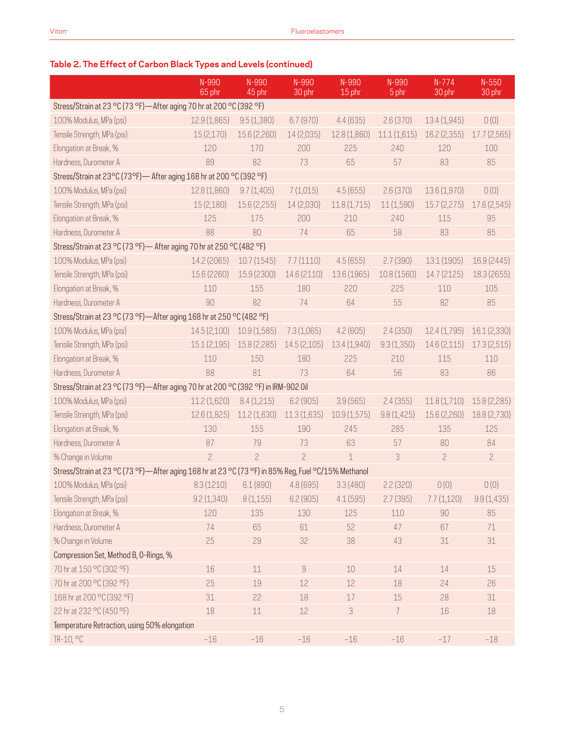### **Table 2. The Effect of Carbon Black Types and Levels (continued)**

|                                                                                                     | N-990<br>65 phr | N-990<br>45 phr | N-990<br>30 phr  | N-990<br>15 phr | N-990<br>5 phr | $N-774$<br>30 phr | $N-550$<br>30 phr |  |
|-----------------------------------------------------------------------------------------------------|-----------------|-----------------|------------------|-----------------|----------------|-------------------|-------------------|--|
| Stress/Strain at 23 °C (73 °F)-After aging 70 hr at 200 °C (392 °F)                                 |                 |                 |                  |                 |                |                   |                   |  |
| 100% Modulus, MPa (psi)                                                                             | 12.9 (1,865)    | 9.5(1,380)      | 6.7(970)         | 4.4(635)        | 2.6(370)       | 13.4 (1,945)      | 0(0)              |  |
| Tensile Strength, MPa (psi)                                                                         | 15(2,170)       | 15.6 (2,260)    | 14 (2,035)       | 12.8 (1,860)    | 11.1(1,615)    | 16.2 (2,355)      | 17.7(2,565)       |  |
| Elongation at Break, %                                                                              | 120             | 170             | 200              | 225             | 240            | 120               | 100               |  |
| Hardness, Durometer A                                                                               | 89              | 82              | 73               | 65              | 57             | 83                | 85                |  |
| Stress/Strain at 23°C (73°F) - After aging 168 hr at 200 °C (392 °F)                                |                 |                 |                  |                 |                |                   |                   |  |
| 100% Modulus, MPa (psi)                                                                             | 12.8 (1,860)    | 9.7(1,405)      | 7(1,015)         | 4.5(655)        | 2.6(370)       | 13.6 (1,970)      | 0(0)              |  |
| Tensile Strength, MPa (psi)                                                                         | 15(2,180)       | 15.6 (2,255)    | 14 (2,030)       | 11.8(1,715)     | 11 (1,590)     | 15.7(2,275)       | 17.6 (2,545)      |  |
| Elongation at Break, %                                                                              | 125             | 175             | 200              | 210             | 240            | 115               | 95                |  |
| Hardness, Durometer A                                                                               | 88              | 80              | 74               | 65              | 58             | 83                | 85                |  |
| Stress/Strain at 23 °C (73 °F) - After aging 70 hr at 250 °C (482 °F)                               |                 |                 |                  |                 |                |                   |                   |  |
| 100% Modulus, MPa (psi)                                                                             | 14.2 (2065)     | 10.7(1545)      | 7.7(1110)        | 4.5(655)        | 2.7(390)       | 13.1 (1905)       | 16.9 (2445)       |  |
| Tensile Strength, MPa (psi)                                                                         | 15.6 (2260)     | 15.9 (2300)     | 14.6 (2110)      | 13.6 (1965)     | 10.8 (1560)    | 14.7 (2125)       | 18.3 (2655)       |  |
| Elongation at Break, %                                                                              | 110             | 155             | 180              | 220             | 225            | 110               | 105               |  |
| Hardness, Durometer A                                                                               | 90              | 82              | 74               | 64              | 55             | 82                | 85                |  |
| Stress/Strain at 23 °C (73 °F)-After aging 168 hr at 250 °C (482 °F)                                |                 |                 |                  |                 |                |                   |                   |  |
| 100% Modulus, MPa (psi)                                                                             | 14.5(2,100)     | 10.9(1,585)     | 7.3(1,065)       | 4.2(605)        | 2.4(350)       | 12.4(1,795)       | 16.1 (2,330)      |  |
| Tensile Strength, MPa (psi)                                                                         | 15.1(2,195)     | 15.8 (2,285)    | 14.5 (2,105)     | 13.4 (1,940)    | 9.3(1,350)     | 14.6(2,115)       | 17.3(2,515)       |  |
| Elongation at Break, %                                                                              | 110             | 150             | 180              | 225             | 210            | 115               | 110               |  |
| Hardness, Durometer A                                                                               | 88              | 81              | 73               | 64              | 56             | 83                | 86                |  |
| Stress/Strain at 23 °C (73 °F)-After aging 70 hr at 200 °C (392 °F) in IRM-902 0il                  |                 |                 |                  |                 |                |                   |                   |  |
| 100% Modulus, MPa (psi)                                                                             | 11.2(1,620)     | 8.4(1,215)      | 6.2(905)         | 3.9(565)        | 2.4(355)       | 11.8(1,710)       | 15.8 (2,285)      |  |
| Tensile Strength, MPa (psi)                                                                         | 12.6 (1,825)    | 11.2 (1,630)    | 11.3(1,635)      | 10.9(1,575)     | 9.8(1,425)     | 15.6 (2,260)      | 18.8 (2,730)      |  |
| Elongation at Break, %                                                                              | 130             | 155             | 190              | 245             | 285            | 135               | 125               |  |
| Hardness, Durometer A                                                                               | 87              | 79              | 73               | 63              | 57             | 80                | 84                |  |
| % Change in Volume                                                                                  | $\overline{c}$  | $\overline{c}$  | $\overline{c}$   | $\mathbf 1$     | 3              | $\overline{c}$    | $\overline{c}$    |  |
| Stress/Strain at 23 °C (73 °F)—After aging 168 hr at 23 °C (73 °F) in 85% Reg, Fuel °C/15% Methanol |                 |                 |                  |                 |                |                   |                   |  |
| 100% Modulus, MPa (psi)                                                                             | 8.3(1210)       | 6.1(890)        | 4.8 (695)        | 3.3(480)        | 2.2(320)       | 0(0)              | 0(0)              |  |
| Tensile Strength, MPa (psi)                                                                         | 9.2(1,340)      | 8(1,155)        | 6.2(905)         | 4.1(595)        | 2.7(395)       | 7.7(1,120)        | 9.9(1,435)        |  |
| Elongation at Break, %                                                                              | 120             | 135             | 130              | 125             | 110            | 90                | 85                |  |
| Hardness, Durometer A                                                                               | 74              | 65              | 61               | 52              | 47             | 67                | 71                |  |
| % Change in Volume                                                                                  | 25              | 29              | 32               | 38              | 43             | $31\,$            | 31                |  |
| Compression Set, Method B, O-Rings, %                                                               |                 |                 |                  |                 |                |                   |                   |  |
| 70 hr at 150 °C (302 °F)                                                                            | 16              | $11\,$          | $\boldsymbol{9}$ | 10              | 14             | 14                | 15                |  |
| 70 hr at 200 °C (392 °F)                                                                            | 25              | 19              | 12               | 12              | 18             | 24                | 26                |  |
| 168 hr at 200 °C (392 °F)                                                                           | 31              | 22              | 18               | $17$            | 15             | 28                | 31                |  |
| 22 hr at 232 °C (450 °F)                                                                            | 18              | $11\,$          | 12               | $\sqrt{3}$      | $\overline{7}$ | 16                | 18                |  |
| Temperature Retraction, using 50% elongation                                                        |                 |                 |                  |                 |                |                   |                   |  |
| TR-10, °C                                                                                           | $-16$           | $-16$           | $-16$            | $-16$           | $-16$          | $-17$             | $-18$             |  |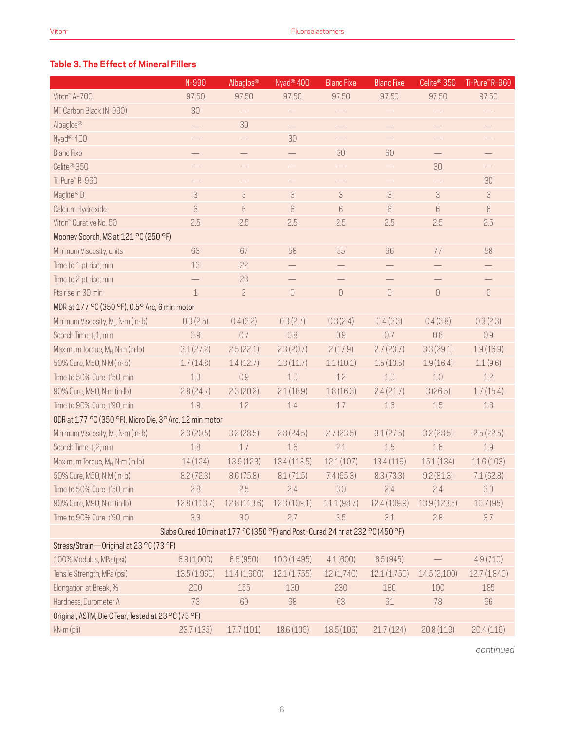#### **Table 3. The Effect of Mineral Fillers**

|                                                         | N-990                                                                         | Albaglos®      | Nyad <sup>®</sup> 400 | <b>Blanc Fixe</b> | <b>Blanc Fixe</b> | Celite <sup>®</sup> 350  | Ti-Pure" R-960 |
|---------------------------------------------------------|-------------------------------------------------------------------------------|----------------|-----------------------|-------------------|-------------------|--------------------------|----------------|
| Viton" A-700                                            | 97.50                                                                         | 97.50          | 97.50                 | 97.50             | 97.50             | 97.50                    | 97.50          |
| MT Carbon Black (N-990)                                 | 30                                                                            |                |                       |                   |                   |                          |                |
| Albaglos®                                               |                                                                               | 30             |                       |                   |                   |                          |                |
| Nyad <sup>®</sup> 400                                   |                                                                               |                | 30                    |                   |                   |                          |                |
| <b>Blanc Fixe</b>                                       |                                                                               |                |                       | 30                | 60                | $\overline{\phantom{0}}$ |                |
| Celite <sup>®</sup> 350                                 |                                                                               |                |                       |                   |                   | 30                       |                |
| Ti-Pure™R-960                                           | —<br>—                                                                        |                |                       |                   |                   |                          | 30             |
| Maglite® D                                              | 3                                                                             | 3              | 3                     | 3                 | 3                 | 3                        | 3              |
| Calcium Hydroxide                                       | 6                                                                             | 6              | $6\,$                 | $6\,$             | 6                 | 6                        | $6\,$          |
| Viton" Curative No. 50                                  | 2.5                                                                           | 2.5            | 2.5                   | 2.5               | 2.5               | 2.5                      | 2.5            |
| Mooney Scorch, MS at 121 °C (250 °F)                    |                                                                               |                |                       |                   |                   |                          |                |
| Minimum Viscosity, units                                | 63                                                                            | 67             | 58                    | 55                | 66                | 77                       | 58             |
| Time to 1 pt rise, min                                  | 13                                                                            | 22             |                       |                   |                   |                          |                |
| Time to 2 pt rise, min                                  |                                                                               | 28             |                       |                   |                   |                          |                |
| Pts rise in 30 min                                      | $\mathbf 1$                                                                   | $\overline{c}$ | $\hbox{O}$            | $\bigcirc$        | $\bigcirc$        | $\mathbf 0$              | $\bigcirc$     |
| MDR at 177 °C (350 °F), 0.5° Arc, 6 min motor           |                                                                               |                |                       |                   |                   |                          |                |
| Minimum Viscosity, M <sub>i</sub> , N·m (in·lb)         | 0.3(2.5)                                                                      | 0.4(3.2)       | 0.3(2.7)              | 0.3(2.4)          | 0.4(3.3)          | 0.4(3.8)                 | 0.3(2.3)       |
| Scorch Time, t.1, min                                   | 0.9                                                                           | 0.7            | 0.8                   | 0.9               | 0.7               | 0.8                      | $0.9\,$        |
| Maximum Torque, M <sub>H</sub> , N·m (in·lb)            | 3.1(27.2)                                                                     | 2.5(22.1)      | 2.3(20.7)             | 2(17.9)           | 2.7(23.7)         | 3.3(29.1)                | 1.9(16.9)      |
| 50% Cure, M50, N·M (in·lb)                              | 1.7(14.8)                                                                     | 1.4(12.7)      | 1.3(11.7)             | 1.1(10.1)         | 1.5(13.5)         | 1.9(16.4)                | 1.1(9.6)       |
| Time to 50% Cure, t'50, min                             | 1.3                                                                           | 0.9            | 1.0                   | 1.2               | 1.0               | 1.0                      | 1.2            |
| 90% Cure, M90, N·m (in·lb)                              | 2.8(24.7)                                                                     | 2.3(20.2)      | 2.1(18.9)             | 1.8(16.3)         | 2.4(21.7)         | 3(26.5)                  | 1.7(15.4)      |
| Time to 90% Cure, t'90, min                             | 1.9                                                                           | 1.2            | 1.4                   | 1.7               | 1.6               | 1.5                      | $1.8\,$        |
| ODR at 177 °C (350 °F), Micro Die, 3° Arc, 12 min motor |                                                                               |                |                       |                   |                   |                          |                |
| Minimum Viscosity, M <sub>i</sub> , N·m (in·lb)         | 2.3(20.5)                                                                     | 3.2(28.5)      | 2.8(24.5)             | 2.7(23.5)         | 3.1(27.5)         | 3.2(28.5)                | 2.5(22.5)      |
| Scorch Time, t <sub>s</sub> 2, min                      | 1.8                                                                           | 1.7            | 1.6                   | 2.1               | 1.5               | 1.6                      | 1.9            |
| Maximum Torque, M <sub>H</sub> , N·m (in·lb)            | 14(124)                                                                       | 13.9(123)      | 13.4(118.5)           | 12.1(107)         | 13.4(119)         | 15.1(134)                | 11.6 (103)     |
| 50% Cure, M50, N·M (in·lb)                              | 8.2(72.3)                                                                     | 8.6(75.8)      | 8.1(71.5)             | 7.4(65.3)         | 8.3(73.3)         | 9.2(81.3)                | 7.1(62.8)      |
| Time to 50% Cure, t'50, min                             | 2.8                                                                           | 2.5            | 2.4                   | 3.0               | 2.4               | 2.4                      | 3.0            |
| 90% Cure, M90, N·m (in·lb)                              | 12.8(113.7)                                                                   | 12.8(113.6)    | 12.3(109.1)           | 11.1(98.7)        | 12.4(109.9)       | 13.9(123.5)              | 10.7(95)       |
| Time to 90% Cure, t'90, min                             | 3.3                                                                           | 3.0            | 2.7                   | 3.5               | 3.1               | 2.8                      | 3.7            |
|                                                         | Slabs Cured 10 min at 177 °C (350 °F) and Post-Cured 24 hr at 232 °C (450 °F) |                |                       |                   |                   |                          |                |
| Stress/Strain-Original at 23 °C (73 °F)                 |                                                                               |                |                       |                   |                   |                          |                |
| 100% Modulus, MPa (psi)                                 | 6.9(1,000)                                                                    | 6.6(950)       | 10.3(1,495)           | 4.1(600)          | 6.5(945)          |                          | 4.9(710)       |
| Tensile Strength, MPa (psi)                             | 13.5(1,960)                                                                   | 11.4(1,660)    | 12.1(1,755)           | 12 (1,740)        | 12.1(1,750)       | 14.5(2,100)              | 12.7(1,840)    |
| Elongation at Break, %                                  | 200                                                                           | 155            | 130                   | 230               | 180               | 100                      | 185            |
| Hardness, Durometer A                                   | 73                                                                            | 69             | 68                    | 63                | 61                | 78                       | 66             |
| Original, ASTM, Die C Tear, Tested at 23 °C (73 °F)     |                                                                               |                |                       |                   |                   |                          |                |
| kN·m (pli)                                              | 23.7 (135)                                                                    | 17.7(101)      | 18.6 (106)            | 18.5(106)         | 21.7(124)         | 20.8(119)                | 20.4(116)      |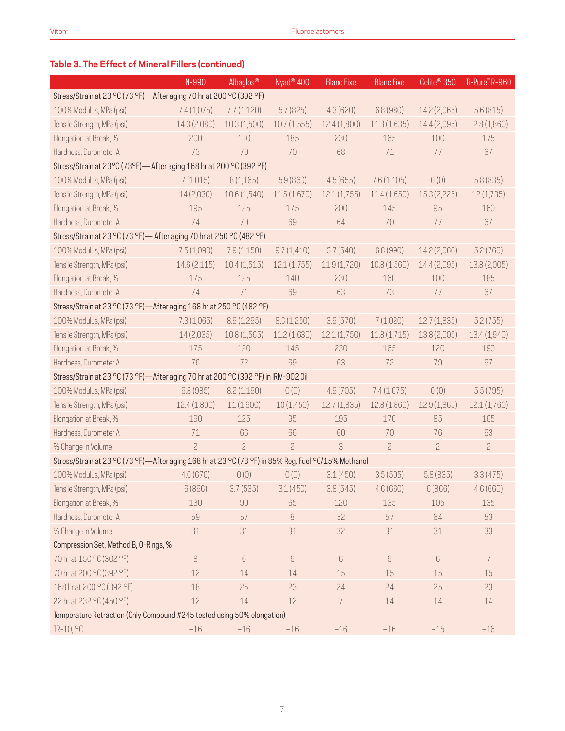## **Table 3. The Effect of Mineral Fillers (continued)**

|                                                                                                     | N-990                                                                | Albaglos®      | Nyad <sup>®</sup> 400 | <b>Blanc Fixe</b> | <b>Blanc Fixe</b> | Celite <sup>®</sup> 350 | Ti-Pure" R-960 |  |  |
|-----------------------------------------------------------------------------------------------------|----------------------------------------------------------------------|----------------|-----------------------|-------------------|-------------------|-------------------------|----------------|--|--|
| Stress/Strain at 23 °C (73 °F)-After aging 70 hr at 200 °C (392 °F)                                 |                                                                      |                |                       |                   |                   |                         |                |  |  |
| 100% Modulus, MPa (psi)                                                                             | 7.4(1,075)                                                           | 7.7(1,120)     | 5.7(825)              | 4.3(620)          | 6.8 (980)         | 14.2 (2,065)            | 5.6(815)       |  |  |
| Tensile Strength, MPa (psi)                                                                         | 14.3 (2,080)                                                         | 10.3(1,500)    | 10.7(1,555)           | 12.4(1,800)       | 11.3(1,635)       | 14.4 (2,095)            | 12.8 (1,860)   |  |  |
| Elongation at Break, %                                                                              | 200                                                                  | 130            | 185                   | 230               | 165               | 100                     | 175            |  |  |
| Hardness, Durometer A                                                                               | 73                                                                   | 70             | 70                    | 68                | 71                | 77                      | 67             |  |  |
|                                                                                                     | Stress/Strain at 23°C (73°F) - After aging 168 hr at 200 °C (392 °F) |                |                       |                   |                   |                         |                |  |  |
| 100% Modulus, MPa (psi)                                                                             | 7(1,015)                                                             | 8(1,165)       | 5.9(860)              | 4.5(655)          | 7.6(1,105)        | 0(0)                    | 5.8(835)       |  |  |
| Tensile Strength, MPa (psi)                                                                         | 14 (2,030)                                                           | 10.6 (1,540)   | 11.5(1,670)           | 12.1(1,755)       | 11.4(1,650)       | 15.3 (2,225)            | 12(1,735)      |  |  |
| Elongation at Break, %                                                                              | 195                                                                  | 125            | 175                   | 200               | 145               | 95                      | 160            |  |  |
| Hardness, Durometer A                                                                               | 74                                                                   | 70             | 69                    | 64                | 70                | 77                      | 67             |  |  |
| Stress/Strain at 23 °C (73 °F) - After aging 70 hr at 250 °C (482 °F)                               |                                                                      |                |                       |                   |                   |                         |                |  |  |
| 100% Modulus, MPa (psi)                                                                             | 7.5(1,090)                                                           | 7.9(1,150)     | 9.7(1,410)            | 3.7(540)          | 6.8(990)          | 14.2 (2,066)            | 5.2(760)       |  |  |
| Tensile Strength, MPa (psi)                                                                         | 14.6 (2,115)                                                         | 10.4(1,515)    | 12.1(1,755)           | 11.9(1,720)       | 10.8(1,560)       | 14.4 (2,095)            | 13.8 (2,005)   |  |  |
| Elongation at Break, %                                                                              | 175                                                                  | 125            | 140                   | 230               | 160               | 100                     | 185            |  |  |
| Hardness, Durometer A                                                                               | 74                                                                   | 71             | 69                    | 63                | 73                | 77                      | 67             |  |  |
| Stress/Strain at 23 °C (73 °F)-After aging 168 hr at 250 °C (482 °F)                                |                                                                      |                |                       |                   |                   |                         |                |  |  |
| 100% Modulus, MPa (psi)                                                                             | 7.3(1,065)                                                           | 8.9(1,295)     | 8.6(1,250)            | 3.9(570)          | 7(1,020)          | 12.7(1,835)             | 5.2(755)       |  |  |
| Tensile Strength, MPa (psi)                                                                         | 14 (2,035)                                                           | 10.8(1,565)    | 11.2(1,630)           | 12.1(1,750)       | 11.8(1,715)       | 13.8 (2,005)            | 13.4 (1,940)   |  |  |
| Elongation at Break, %                                                                              | 175                                                                  | 120            | 145                   | 230               | 165               | 120                     | 190            |  |  |
| Hardness, Durometer A                                                                               | 76                                                                   | 72             | 69                    | 63                | 72                | 79                      | 67             |  |  |
| Stress/Strain at 23 °C (73 °F)-After aging 70 hr at 200 °C (392 °F) in IRM-902 0il                  |                                                                      |                |                       |                   |                   |                         |                |  |  |
| 100% Modulus, MPa (psi)                                                                             | 6.8(985)                                                             | 8.2(1,190)     | 0(0)                  | 4.9(705)          | 7.4(1,075)        | 0(0)                    | 5.5(795)       |  |  |
| Tensile Strength, MPa (psi)                                                                         | 12.4 (1,800)                                                         | 11(1,600)      | 10(1,450)             | 12.7(1,835)       | 12.8 (1,860)      | 12.9(1,865)             | 12.1(1,760)    |  |  |
| Elongation at Break, %                                                                              | 190                                                                  | 125            | 95                    | 195               | 170               | 85                      | 165            |  |  |
| Hardness, Durometer A                                                                               | 71                                                                   | 66             | 66                    | 60                | 70                | 76                      | 63             |  |  |
| % Change in Volume                                                                                  | $\overline{c}$                                                       | $\overline{c}$ | $\overline{c}$        | 3                 | $\overline{c}$    | $\overline{c}$          | $\overline{c}$ |  |  |
| Stress/Strain at 23 °C (73 °F)—After aging 168 hr at 23 °C (73 °F) in 85% Reg. Fuel °C/15% Methanol |                                                                      |                |                       |                   |                   |                         |                |  |  |
| 100% Modulus, MPa (psi)                                                                             | 4.6(670)                                                             | 0(0)           | 0(0)                  | 3.1(450)          | 3.5(505)          | 5.8(835)                | 3.3(475)       |  |  |
| Tensile Strength, MPa (psi)                                                                         | 6(866)                                                               | 3.7(535)       | 3.1(450)              | 3.8(545)          | 4.6(660)          | 6(866)                  | 4.6(660)       |  |  |
| Elongation at Break, %                                                                              | 130                                                                  | 90             | 65                    | 120               | 135               | 105                     | 135            |  |  |
| Hardness, Durometer A                                                                               | 59                                                                   | 57             | 8                     | 52                | 57                | 64                      | 53             |  |  |
| % Change in Volume                                                                                  | 31                                                                   | 31             | 31                    | 32                | 31                | 31                      | 33             |  |  |
| Compression Set, Method B, O-Rings, %                                                               |                                                                      |                |                       |                   |                   |                         |                |  |  |
| 70 hr at 150 °C (302 °F)                                                                            | $\, 8$                                                               | 6              | $\,6$                 | $6\,$             | $6\,$             | $6\,$                   | $\overline{7}$ |  |  |
| 70 hr at 200 °C (392 °F)                                                                            | 12                                                                   | 14             | 14                    | 15                | 15                | 15                      | 15             |  |  |
| 168 hr at 200 °C (392 °F)                                                                           | 18                                                                   | 25             | 23                    | 24                | 24                | 25                      | 23             |  |  |
| 22 hr at 232 °C (450 °F)                                                                            | 12                                                                   | 14             | 12                    | 7                 | 14                | 14                      | 14             |  |  |
| Temperature Retraction (Only Compound #245 tested using 50% elongation)                             |                                                                      |                |                       |                   |                   |                         |                |  |  |
| TR-10, °C                                                                                           | $-16$                                                                | $-16$          | $-16$                 | $-16$             | $-16$             | $-15$                   | $-16$          |  |  |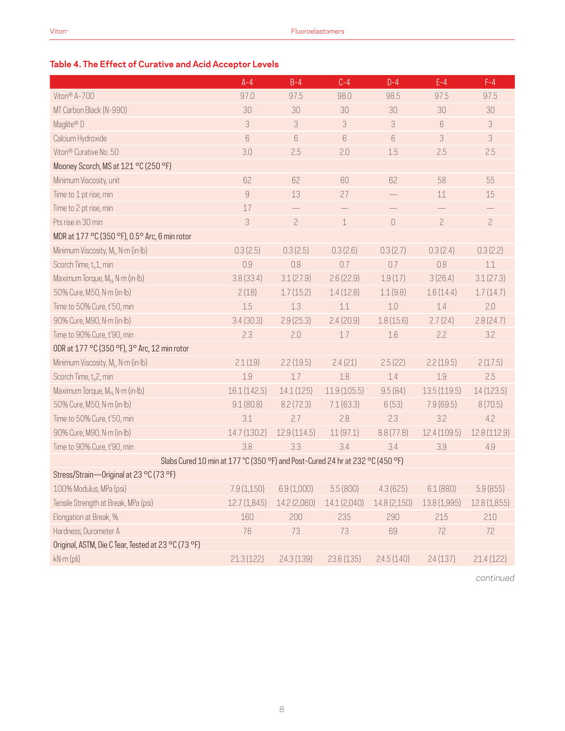### **Table 4. The Effect of Curative and Acid Acceptor Levels**

|                                                                               | $A - 4$        | $B-4$          | $C-4$        | $D-4$        | $E-4$          | $F-4$          |
|-------------------------------------------------------------------------------|----------------|----------------|--------------|--------------|----------------|----------------|
| Viton® A-700                                                                  | 97.0           | 97.5           | 98.0         | 98.5         | 97.5           | 97.5           |
| MT Carbon Black (N-990)                                                       | 30             | 30             | 30           | 30           | 30             | 30             |
| Maglite® D                                                                    | 3              | 3              | 3            | 3            | 6              | 3              |
| Calcium Hydroxide                                                             | 6              | 6              | 6            | 6            | 3              | 3              |
| Viton <sup>®</sup> Curative No. 50                                            | 3.0            | 2.5            | 2.0          | 1.5          | 2.5            | 2.5            |
| Mooney Scorch, MS at 121 °C (250 °F)                                          |                |                |              |              |                |                |
| Minimum Viscosity, unit                                                       | 62             | 62             | 60           | 62           | 58             | 55             |
| Time to 1 pt rise, min                                                        | $\overline{9}$ | 13             | 27           |              | 11             | 15             |
| Time to 2 pt rise, min                                                        | 17             |                |              |              |                |                |
| Pts rise in 30 min                                                            | 3              | $\overline{c}$ | $\,1\,$      | $\mathbf 0$  | $\overline{c}$ | $\overline{c}$ |
| MDR at 177 °C (350 °F), 0.5° Arc, 6 min rotor                                 |                |                |              |              |                |                |
| Minimum Viscosity, M <sub>i</sub> , N·m (in·lb)                               | 0.3(2.5)       | 0.3(2.5)       | 0.3(2.6)     | 0.3(2.7)     | 0.3(2.4)       | 0.3(2.2)       |
| Scorch Time, t <sub>s</sub> 1, min                                            | 0.9            | 0.8            | 0.7          | 0.7          | 0.8            | 1.1            |
| Maximum Torque, M <sub>H</sub> , N·m (in·lb)                                  | 3.8(33.4)      | 3.1(27.9)      | 2.6(22.9)    | 1.9(17)      | 3(26.4)        | 3.1(27.3)      |
| 50% Cure, M50, N·m (in·lb)                                                    | 2(18)          | 1.7(15.2)      | 1.4(12.8)    | 1.1(9.8)     | 1.6(14.4)      | 1.7(14.7)      |
| Time to 50% Cure, t'50, min                                                   | 1.5            | 1.3            | 1.1          | 1.0          | 1.4            | 2.0            |
| 90% Cure, M90, N·m (in·lb)                                                    | 3.4(30.3)      | 2.9(25.3)      | 2.4(20.9)    | 1.8(15.6)    | 2.7(24)        | 2.8(24.7)      |
| Time to 90% Cure, t'90, min                                                   | 2.3            | 2.0            | 1.7          | 1.6          | 2.2            | 3.2            |
| ODR at 177 °C (350 °F), 3° Arc, 12 min rotor                                  |                |                |              |              |                |                |
| Minimum Viscosity, ML, N·m (in·lb)                                            | 2.1(19)        | 2.2(19.5)      | 2.4(21)      | 2.5(22)      | 2.2(19.5)      | 2(17.5)        |
| Scorch Time, t <sub>s</sub> 2, min                                            | 1.9            | 1.7            | 1.8          | 1.4          | 1.9            | 2.5            |
| Maximum Torque, M <sub>H</sub> , N·m (in·lb)                                  | 16.1 (142.5)   | 14.1(125)      | 11.9(105.5)  | 9.5(84)      | 13.5(119.5)    | 14 (123.5)     |
| 50% Cure, M50, N·m (in·lb)                                                    | 9.1(80.8)      | 8.2(72.3)      | 7.1(63.3)    | 6(53)        | 7.9(69.5)      | 8(70.5)        |
| Time to 50% Cure, t'50, min                                                   | 3.1            | 2.7            | 2.8          | 2.3          | 3.2            | 4.2            |
| 90% Cure, M90, N·m (in·lb)                                                    | 14.7 (130.2)   | 12.9(114.5)    | 11(97.1)     | 8.8(77.8)    | 12.4(109.5)    | 12.8 (112.9)   |
| Time to 90% Cure, t'90, min                                                   | 3.8            | 3.3            | 3.4          | 3.4          | 3.9            | 4.9            |
| Slabs Cured 10 min at 177 *C (350 °F) and Post-Cured 24 hr at 232 °C (450 °F) |                |                |              |              |                |                |
| Stress/Strain-Original at 23 °C (73 °F)                                       |                |                |              |              |                |                |
| 100% Modulus, MPa (psi)                                                       | 7.9(1,150)     | 6.9(1,000)     | 5.5(800)     | 4.3(625)     | 6.1(880)       | 5.9(855)       |
| Tensile Strength at Break, MPa (psi)                                          | 12.7(1,845)    | 14.2 (2,060)   | 14.1 (2,040) | 14.8 (2,150) | 13.8 (1,995)   | 12.8 (1,855)   |
| Elongation at Break, %                                                        | 160            | 200            | 235          | 290          | 215            | 210            |
| Hardness, Durometer A                                                         | 76             | 73             | 73           | 69           | 72             | 72             |
| Original, ASTM, Die C Tear, Tested at 23 °C (73 °F)                           |                |                |              |              |                |                |
| kN·m (pli)                                                                    | 21.3(122)      | 24.3 (139)     | 23.6(135)    | 24.5(140)    | 24(137)        | 21.4(122)      |
|                                                                               |                |                |              |              |                |                |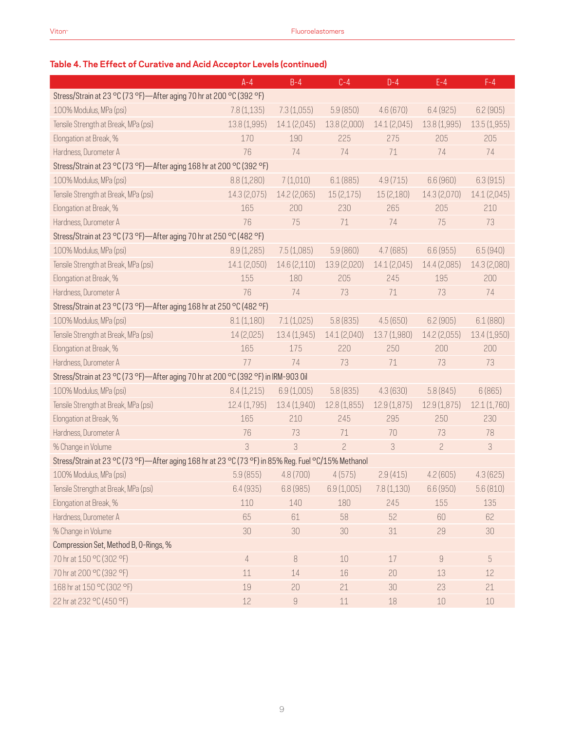### **Table 4. The Effect of Curative and Acid Acceptor Levels (continued)**

|                                                                                                     | $A - 4$      | $B-4$                                                                                                                                                                                                                                                                                                                                                                                                                                                         | $C-4$                                | $D-4$        | $E-4$          | $F-4$        |  |  |
|-----------------------------------------------------------------------------------------------------|--------------|---------------------------------------------------------------------------------------------------------------------------------------------------------------------------------------------------------------------------------------------------------------------------------------------------------------------------------------------------------------------------------------------------------------------------------------------------------------|--------------------------------------|--------------|----------------|--------------|--|--|
| Stress/Strain at 23 °C (73 °F)-After aging 70 hr at 200 °C (392 °F)                                 |              |                                                                                                                                                                                                                                                                                                                                                                                                                                                               |                                      |              |                |              |  |  |
| 100% Modulus, MPa (psi)                                                                             | 7.8(1,135)   | 7.3(1,055)                                                                                                                                                                                                                                                                                                                                                                                                                                                    | 5.9(850)                             | 4.6(670)     | 6.4(925)       | 6.2(905)     |  |  |
| Tensile Strength at Break, MPa (psi)                                                                | 13.8 (1,995) | 14.1(2,045)                                                                                                                                                                                                                                                                                                                                                                                                                                                   | 13.8 (2,000)                         | 14.1 (2,045) | 13.8(1,995)    | 13.5(1,955)  |  |  |
| Elongation at Break, %                                                                              | 170          | 190                                                                                                                                                                                                                                                                                                                                                                                                                                                           | 225                                  | 275          | 205            | 205          |  |  |
| Hardness, Durometer A                                                                               | 76           | 74                                                                                                                                                                                                                                                                                                                                                                                                                                                            | 74                                   | 71           | 74             | 74           |  |  |
| Stress/Strain at 23 °C (73 °F)-After aging 168 hr at 200 °C (392 °F)                                |              |                                                                                                                                                                                                                                                                                                                                                                                                                                                               |                                      |              |                |              |  |  |
| 100% Modulus, MPa (psi)                                                                             | 8.8(1,280)   | 7(1,010)                                                                                                                                                                                                                                                                                                                                                                                                                                                      | 6.1(885)                             | 4.9(715)     | 6.6(960)       | 6.3(915)     |  |  |
| Tensile Strength at Break, MPa (psi)                                                                | 14.3 (2,075) | 14.2 (2,065)                                                                                                                                                                                                                                                                                                                                                                                                                                                  | 15(2,175)                            | 15 (2,180)   | 14.3 (2,070)   | 14.1 (2,045) |  |  |
| Elongation at Break, %                                                                              | 165          | 200                                                                                                                                                                                                                                                                                                                                                                                                                                                           | 230                                  | 265          | 205            | 210          |  |  |
| Hardness, Durometer A                                                                               | 76           | 75                                                                                                                                                                                                                                                                                                                                                                                                                                                            | 71                                   | 74           | 75             | 73           |  |  |
| Stress/Strain at 23 °C (73 °F)-After aging 70 hr at 250 °C (482 °F)                                 |              |                                                                                                                                                                                                                                                                                                                                                                                                                                                               |                                      |              |                |              |  |  |
| 100% Modulus, MPa (psi)                                                                             | 8.9(1,285)   | 7.5(1,085)                                                                                                                                                                                                                                                                                                                                                                                                                                                    | 5.9(860)                             | 4.7(685)     | 6.6(955)       | 6.5(940)     |  |  |
| Tensile Strength at Break, MPa (psi)                                                                | 14.1 (2,050) | 14.6 (2,110)                                                                                                                                                                                                                                                                                                                                                                                                                                                  | 13.9 (2,020)                         | 14.1 (2,045) | 14.4 (2,085)   | 14.3 (2,080) |  |  |
| Elongation at Break, %                                                                              | 155          | 180                                                                                                                                                                                                                                                                                                                                                                                                                                                           | 205                                  | 245          | 195            | 200          |  |  |
| Hardness, Durometer A                                                                               | 76           | 74                                                                                                                                                                                                                                                                                                                                                                                                                                                            | 73                                   | 71           | 73             | 74           |  |  |
| Stress/Strain at 23 °C (73 °F)-After aging 168 hr at 250 °C (482 °F)                                |              |                                                                                                                                                                                                                                                                                                                                                                                                                                                               |                                      |              |                |              |  |  |
| 100% Modulus, MPa (psi)                                                                             | 8.1(1,180)   | 7.1(1,025)                                                                                                                                                                                                                                                                                                                                                                                                                                                    | 5.8(835)                             | 4.5(650)     | 6.2(905)       | 6.1(880)     |  |  |
| Tensile Strength at Break, MPa (psi)                                                                | 14(2,025)    | 13.4 (1,945)                                                                                                                                                                                                                                                                                                                                                                                                                                                  | 14.1 (2,040)                         | 13.7 (1,980) | 14.2 (2,055)   | 13.4 (1,950) |  |  |
| Elongation at Break, %                                                                              | 165          | 175                                                                                                                                                                                                                                                                                                                                                                                                                                                           | 220                                  | 250          | 200            | 200          |  |  |
| Hardness, Durometer A                                                                               | 77           | 74                                                                                                                                                                                                                                                                                                                                                                                                                                                            | 73                                   | 71           | 73             | 73           |  |  |
| Stress/Strain at 23 °C (73 °F)-After aging 70 hr at 200 °C (392 °F) in IRM-903 0il                  |              |                                                                                                                                                                                                                                                                                                                                                                                                                                                               |                                      |              |                |              |  |  |
| 100% Modulus, MPa (psi)                                                                             | 8.4(1,215)   | 6.9(1,005)                                                                                                                                                                                                                                                                                                                                                                                                                                                    | 5.8(835)                             | 4.3(630)     | 5.8(845)       | 6(865)       |  |  |
| Tensile Strength at Break, MPa (psi)                                                                | 12.4(1,795)  | 13.4 (1,940)                                                                                                                                                                                                                                                                                                                                                                                                                                                  | 12.8(1,855)                          | 12.9(1,875)  | 12.9 (1,875)   | 12.1 (1,760) |  |  |
| Elongation at Break, %                                                                              | 165          | 210                                                                                                                                                                                                                                                                                                                                                                                                                                                           | 245                                  | 295          | 250            | 230          |  |  |
| Hardness, Durometer A                                                                               | 76           | 73                                                                                                                                                                                                                                                                                                                                                                                                                                                            | 71                                   | 70           | 73             | 78           |  |  |
| % Change in Volume                                                                                  | 3            | 3                                                                                                                                                                                                                                                                                                                                                                                                                                                             | $\overline{c}$                       | 3            | $\overline{c}$ | 3            |  |  |
| Stress/Strain at 23 °C (73 °F)—After aging 168 hr at 23 °C (73 °F) in 85% Reg. Fuel °C/15% Methanol |              |                                                                                                                                                                                                                                                                                                                                                                                                                                                               |                                      |              |                |              |  |  |
| 100% Modulus, MPa (psi)                                                                             | 5.9(855)     | 4.8(700)                                                                                                                                                                                                                                                                                                                                                                                                                                                      | 4(575)                               | 2.9(415)     | 4.2(605)       | 4.3(625)     |  |  |
| Tensile Strength at Break, MPa (psi)                                                                | 6.4(935)     |                                                                                                                                                                                                                                                                                                                                                                                                                                                               | $6.8(985)$ $6.9(1,005)$ $7.8(1,130)$ |              | 6.6(950)       | 5.6(810)     |  |  |
| Elongation at Break, %                                                                              | 110          | 140                                                                                                                                                                                                                                                                                                                                                                                                                                                           | 180                                  | 245          | 155            | 135          |  |  |
| Hardness, Durometer A                                                                               | 65           | 61                                                                                                                                                                                                                                                                                                                                                                                                                                                            | 58                                   | 52           | 60             | 62           |  |  |
| % Change in Volume                                                                                  | 30           | 30                                                                                                                                                                                                                                                                                                                                                                                                                                                            | 30                                   | 31           | 29             | 30           |  |  |
| Compression Set, Method B, O-Rings, %                                                               |              |                                                                                                                                                                                                                                                                                                                                                                                                                                                               |                                      |              |                |              |  |  |
| 70 hr at 150 °C (302 °F)                                                                            | 4            | $\, 8$                                                                                                                                                                                                                                                                                                                                                                                                                                                        | $10$                                 | 17           | $\hbox{g}$     | 5            |  |  |
| 70 hr at 200 °C (392 °F)                                                                            | 11           | 14                                                                                                                                                                                                                                                                                                                                                                                                                                                            | 16                                   | 20           | 13             | 12           |  |  |
| 168 hr at 150 °C (302 °F)                                                                           | 19           | 20                                                                                                                                                                                                                                                                                                                                                                                                                                                            | 21                                   | 30           | 23             | 21           |  |  |
| 22 hr at 232 °C (450 °F)                                                                            | $12\,$       | $\mathcal{G}% =\mathcal{G}_{1}\mathcal{G}_{1}\mathcal{G}_{2}\mathcal{G}_{3}\mathcal{G}_{4} \mathcal{G}_{5} \mathcal{G}_{6} \mathcal{G}_{7} \mathcal{G}_{8} \mathcal{G}_{9} \mathcal{G}_{9} \mathcal{G}_{9} \mathcal{G}_{9} \mathcal{G}_{9} \mathcal{G}_{9} \mathcal{G}_{9} \mathcal{G}_{9} \mathcal{G}_{9} \mathcal{G}_{9} \mathcal{G}_{9} \mathcal{G}_{9} \mathcal{G}_{9} \mathcal{G}_{9} \mathcal{G}_{9} \mathcal{G}_{9} \mathcal{G}_{9} \mathcal{G}_{9} \$ | $11\,$                               | 18           | $10\,$         | $10\,$       |  |  |